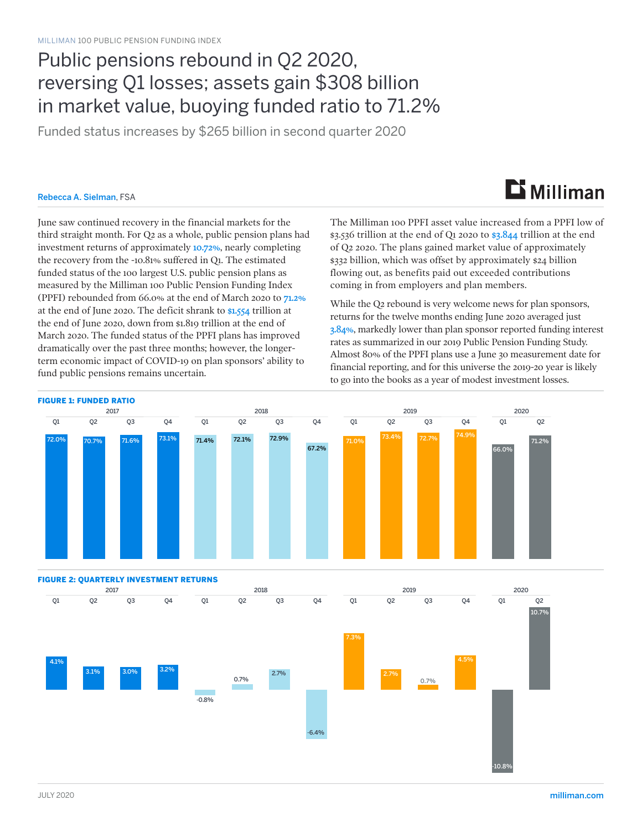### Public pensions rebound in Q2 2020, reversing Q1 losses; assets gain \$308 billion in market value, buoying funded ratio to 71.2%

Funded status increases by \$265 billion in second quarter 2020

#### Rebecca A. Sielman, FSA

# $\mathbf{D}$  Milliman

June saw continued recovery in the financial markets for the third straight month. For Q2 as a whole, public pension plans had investment returns of approximately 10.72%, nearly completing the recovery from the -10.81% suffered in Q1. The estimated funded status of the 100 largest U.S. public pension plans as measured by the Milliman 100 Public Pension Funding Index (PPFI) rebounded from 66.0% at the end of March 2020 to 71.2% at the end of June 2020. The deficit shrank to \$1.554 trillion at the end of June 2020, down from \$1.819 trillion at the end of March 2020. The funded status of the PPFI plans has improved dramatically over the past three months; however, the longerterm economic impact of COVID-19 on plan sponsors' ability to fund public pensions remains uncertain.

The Milliman 100 PPFI asset value increased from a PPFI low of \$3.536 trillion at the end of Q1 2020 to  $$3.844$  trillion at the end of Q2 2020. The plans gained market value of approximately \$332 billion, which was offset by approximately \$24 billion flowing out, as benefits paid out exceeded contributions coming in from employers and plan members.

While the Q2 rebound is very welcome news for plan sponsors, returns for the twelve months ending June 2020 averaged just 3.84%, markedly lower than plan sponsor reported funding interest rates as summarized in our 2019 Public Pension Funding Study. Almost 80% of the PPFI plans use a June 30 measurement date for financial reporting, and for this universe the 2019-20 year is likely to go into the books as a year of modest investment losses.